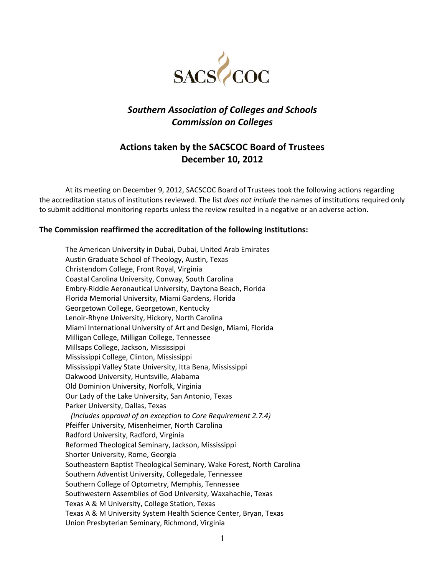

# *Southern Association of Colleges and Schools Commission on Colleges*

# **Actions taken by the SACSCOC Board of Trustees December 10, 2012**

At its meeting on December 9, 2012, SACSCOC Board of Trustees took the following actions regarding the accreditation status of institutions reviewed. The list *does not include* the names of institutions required only to submit additional monitoring reports unless the review resulted in a negative or an adverse action.

#### **The Commission reaffirmed the accreditation of the following institutions:**

The American University in Dubai, Dubai, United Arab Emirates Austin Graduate School of Theology, Austin, Texas Christendom College, Front Royal, Virginia Coastal Carolina University, Conway, South Carolina Embry‐Riddle Aeronautical University, Daytona Beach, Florida Florida Memorial University, Miami Gardens, Florida Georgetown College, Georgetown, Kentucky Lenoir‐Rhyne University, Hickory, North Carolina Miami International University of Art and Design, Miami, Florida Milligan College, Milligan College, Tennessee Millsaps College, Jackson, Mississippi Mississippi College, Clinton, Mississippi Mississippi Valley State University, Itta Bena, Mississippi Oakwood University, Huntsville, Alabama Old Dominion University, Norfolk, Virginia Our Lady of the Lake University, San Antonio, Texas Parker University, Dallas, Texas  *(Includes approval of an exception to Core Requirement 2.7.4)* Pfeiffer University, Misenheimer, North Carolina Radford University, Radford, Virginia Reformed Theological Seminary, Jackson, Mississippi Shorter University, Rome, Georgia Southeastern Baptist Theological Seminary, Wake Forest, North Carolina Southern Adventist University, Collegedale, Tennessee Southern College of Optometry, Memphis, Tennessee Southwestern Assemblies of God University, Waxahachie, Texas Texas A & M University, College Station, Texas Texas A & M University System Health Science Center, Bryan, Texas Union Presbyterian Seminary, Richmond, Virginia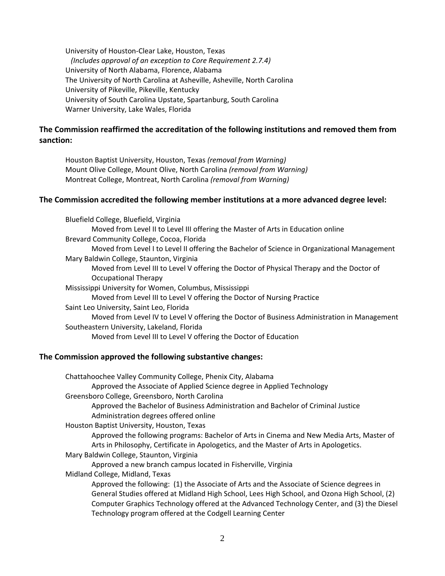University of Houston‐Clear Lake, Houston, Texas *(Includes approval of an exception to Core Requirement 2.7.4)* University of North Alabama, Florence, Alabama The University of North Carolina at Asheville, Asheville, North Carolina University of Pikeville, Pikeville, Kentucky University of South Carolina Upstate, Spartanburg, South Carolina Warner University, Lake Wales, Florida

# **The Commission reaffirmed the accreditation of the following institutions and removed them from sanction:**

Houston Baptist University, Houston, Texas *(removal from Warning)* Mount Olive College, Mount Olive, North Carolina *(removal from Warning)* Montreat College, Montreat, North Carolina *(removal from Warning)*

### **The Commission accredited the following member institutions at a more advanced degree level:**

| Bluefield College, Bluefield, Virginia                                                       |
|----------------------------------------------------------------------------------------------|
| Moved from Level II to Level III offering the Master of Arts in Education online             |
| Brevard Community College, Cocoa, Florida                                                    |
| Moved from Level I to Level II offering the Bachelor of Science in Organizational Management |
| Mary Baldwin College, Staunton, Virginia                                                     |
| Moved from Level III to Level V offering the Doctor of Physical Therapy and the Doctor of    |
| <b>Occupational Therapy</b>                                                                  |
| Mississippi University for Women, Columbus, Mississippi                                      |
| Moved from Level III to Level V offering the Doctor of Nursing Practice                      |
| Saint Leo University, Saint Leo, Florida                                                     |
| Moved from Level IV to Level V offering the Doctor of Business Administration in Management  |
| Southeastern University, Lakeland, Florida                                                   |
| Moved from Level III to Level V offering the Doctor of Education                             |
|                                                                                              |

#### **The Commission approved the following substantive changes:**

| Chattahoochee Valley Community College, Phenix City, Alabama                                 |
|----------------------------------------------------------------------------------------------|
| Approved the Associate of Applied Science degree in Applied Technology                       |
| Greensboro College, Greensboro, North Carolina                                               |
| Approved the Bachelor of Business Administration and Bachelor of Criminal Justice            |
| Administration degrees offered online                                                        |
| Houston Baptist University, Houston, Texas                                                   |
| Approved the following programs: Bachelor of Arts in Cinema and New Media Arts, Master of    |
| Arts in Philosophy, Certificate in Apologetics, and the Master of Arts in Apologetics.       |
| Mary Baldwin College, Staunton, Virginia                                                     |
| Approved a new branch campus located in Fisherville, Virginia                                |
| Midland College, Midland, Texas                                                              |
| Approved the following: (1) the Associate of Arts and the Associate of Science degrees in    |
| General Studies offered at Midland High School, Lees High School, and Ozona High School, (2) |
| Computer Graphics Technology offered at the Advanced Technology Center, and (3) the Diesel   |
| Technology program offered at the Codgell Learning Center                                    |
|                                                                                              |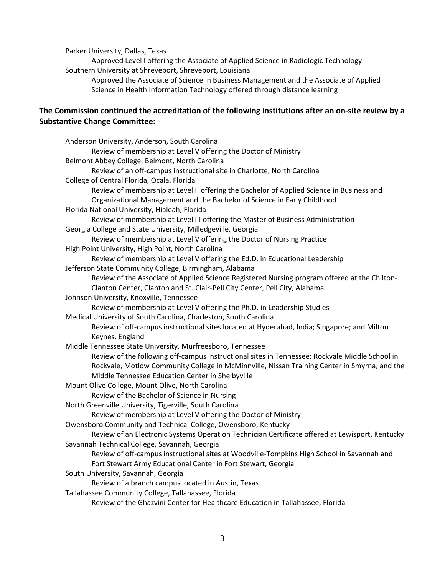Parker University, Dallas, Texas

Approved Level I offering the Associate of Applied Science in Radiologic Technology Southern University at Shreveport, Shreveport, Louisiana

Approved the Associate of Science in Business Management and the Associate of Applied Science in Health Information Technology offered through distance learning

# **The Commission continued the accreditation of the following institutions after an on‐site review by a Substantive Change Committee:**

| Anderson University, Anderson, South Carolina                                                   |
|-------------------------------------------------------------------------------------------------|
| Review of membership at Level V offering the Doctor of Ministry                                 |
| Belmont Abbey College, Belmont, North Carolina                                                  |
| Review of an off-campus instructional site in Charlotte, North Carolina                         |
| College of Central Florida, Ocala, Florida                                                      |
| Review of membership at Level II offering the Bachelor of Applied Science in Business and       |
| Organizational Management and the Bachelor of Science in Early Childhood                        |
| Florida National University, Hialeah, Florida                                                   |
| Review of membership at Level III offering the Master of Business Administration                |
| Georgia College and State University, Milledgeville, Georgia                                    |
| Review of membership at Level V offering the Doctor of Nursing Practice                         |
| High Point University, High Point, North Carolina                                               |
| Review of membership at Level V offering the Ed.D. in Educational Leadership                    |
| Jefferson State Community College, Birmingham, Alabama                                          |
| Review of the Associate of Applied Science Registered Nursing program offered at the Chilton-   |
| Clanton Center, Clanton and St. Clair-Pell City Center, Pell City, Alabama                      |
| Johnson University, Knoxville, Tennessee                                                        |
| Review of membership at Level V offering the Ph.D. in Leadership Studies                        |
| Medical University of South Carolina, Charleston, South Carolina                                |
| Review of off-campus instructional sites located at Hyderabad, India; Singapore; and Milton     |
| Keynes, England                                                                                 |
| Middle Tennessee State University, Murfreesboro, Tennessee                                      |
| Review of the following off-campus instructional sites in Tennessee: Rockvale Middle School in  |
| Rockvale, Motlow Community College in McMinnville, Nissan Training Center in Smyrna, and the    |
| Middle Tennessee Education Center in Shelbyville                                                |
| Mount Olive College, Mount Olive, North Carolina                                                |
| Review of the Bachelor of Science in Nursing                                                    |
| North Greenville University, Tigerville, South Carolina                                         |
| Review of membership at Level V offering the Doctor of Ministry                                 |
| Owensboro Community and Technical College, Owensboro, Kentucky                                  |
| Review of an Electronic Systems Operation Technician Certificate offered at Lewisport, Kentucky |
| Savannah Technical College, Savannah, Georgia                                                   |
| Review of off-campus instructional sites at Woodville-Tompkins High School in Savannah and      |
| Fort Stewart Army Educational Center in Fort Stewart, Georgia                                   |
| South University, Savannah, Georgia                                                             |
| Review of a branch campus located in Austin, Texas                                              |
| Tallahassee Community College, Tallahassee, Florida                                             |
| Review of the Ghazvini Center for Healthcare Education in Tallahassee, Florida                  |
|                                                                                                 |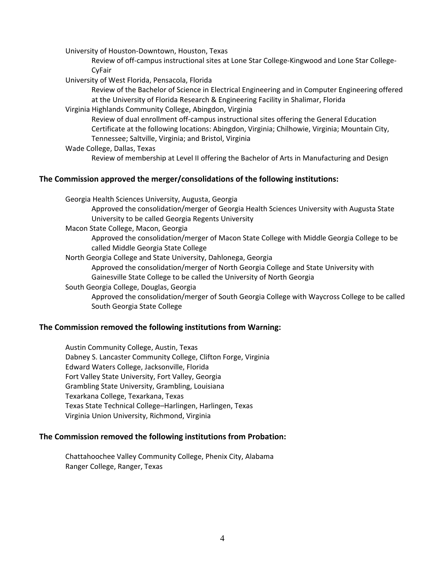University of Houston‐Downtown, Houston, Texas

Review of off‐campus instructional sites at Lone Star College‐Kingwood and Lone Star College‐ CyFair

University of West Florida, Pensacola, Florida

Review of the Bachelor of Science in Electrical Engineering and in Computer Engineering offered at the University of Florida Research & Engineering Facility in Shalimar, Florida

Virginia Highlands Community College, Abingdon, Virginia

Review of dual enrollment off-campus instructional sites offering the General Education Certificate at the following locations: Abingdon, Virginia; Chilhowie, Virginia; Mountain City, Tennessee; Saltville, Virginia; and Bristol, Virginia

Wade College, Dallas, Texas Review of membership at Level II offering the Bachelor of Arts in Manufacturing and Design

### **The Commission approved the merger/consolidations of the following institutions:**

Georgia Health Sciences University, Augusta, Georgia

Approved the consolidation/merger of Georgia Health Sciences University with Augusta State University to be called Georgia Regents University

Macon State College, Macon, Georgia

Approved the consolidation/merger of Macon State College with Middle Georgia College to be called Middle Georgia State College

North Georgia College and State University, Dahlonega, Georgia

Approved the consolidation/merger of North Georgia College and State University with Gainesville State College to be called the University of North Georgia

South Georgia College, Douglas, Georgia

Approved the consolidation/merger of South Georgia College with Waycross College to be called South Georgia State College

#### **The Commission removed the following institutions from Warning:**

Austin Community College, Austin, Texas Dabney S. Lancaster Community College, Clifton Forge, Virginia Edward Waters College, Jacksonville, Florida Fort Valley State University, Fort Valley, Georgia Grambling State University, Grambling, Louisiana Texarkana College, Texarkana, Texas Texas State Technical College–Harlingen, Harlingen, Texas Virginia Union University, Richmond, Virginia

#### **The Commission removed the following institutions from Probation:**

Chattahoochee Valley Community College, Phenix City, Alabama Ranger College, Ranger, Texas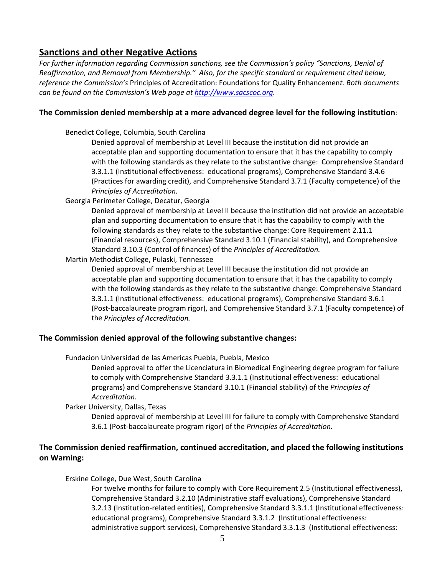# **Sanctions and other Negative Actions**

*For further information regarding Commission sanctions, see the Commission's policy "Sanctions, Denial of Reaffirmation, and Removal from Membership." Also, for the specific standard or requirement cited below, reference the Commission's* Principles of Accreditation: Foundations for Quality Enhancemen*t. Both documents can be found on the Commission's Web page at http://www.sacscoc.org.*

### **The Commission denied membership at a more advanced degree level for the following institution**:

Benedict College, Columbia, South Carolina

Denied approval of membership at Level III because the institution did not provide an acceptable plan and supporting documentation to ensure that it has the capability to comply with the following standards as they relate to the substantive change: Comprehensive Standard 3.3.1.1 (Institutional effectiveness: educational programs), Comprehensive Standard 3.4.6 (Practices for awarding credit), and Comprehensive Standard 3.7.1 (Faculty competence) of the *Principles of Accreditation.*

Georgia Perimeter College, Decatur, Georgia

Denied approval of membership at Level II because the institution did not provide an acceptable plan and supporting documentation to ensure that it has the capability to comply with the following standards as they relate to the substantive change: Core Requirement 2.11.1 (Financial resources), Comprehensive Standard 3.10.1 (Financial stability), and Comprehensive Standard 3.10.3 (Control of finances) of the *Principles of Accreditation.*

Martin Methodist College, Pulaski, Tennessee

Denied approval of membership at Level III because the institution did not provide an acceptable plan and supporting documentation to ensure that it has the capability to comply with the following standards as they relate to the substantive change: Comprehensive Standard 3.3.1.1 (Institutional effectiveness: educational programs), Comprehensive Standard 3.6.1 (Post‐baccalaureate program rigor), and Comprehensive Standard 3.7.1 (Faculty competence) of the *Principles of Accreditation.*

## **The Commission denied approval of the following substantive changes:**

Fundacion Universidad de las Americas Puebla, Puebla, Mexico

Denied approval to offer the Licenciatura in Biomedical Engineering degree program for failure to comply with Comprehensive Standard 3.3.1.1 (Institutional effectiveness: educational programs) and Comprehensive Standard 3.10.1 (Financial stability) of the *Principles of Accreditation.*

Parker University, Dallas, Texas

Denied approval of membership at Level III for failure to comply with Comprehensive Standard 3.6.1 (Post‐baccalaureate program rigor) of the *Principles of Accreditation.*

# **The Commission denied reaffirmation, continued accreditation, and placed the following institutions on Warning:**

Erskine College, Due West, South Carolina

For twelve months for failure to comply with Core Requirement 2.5 (Institutional effectiveness), Comprehensive Standard 3.2.10 (Administrative staff evaluations), Comprehensive Standard 3.2.13 (Institution‐related entities), Comprehensive Standard 3.3.1.1 (Institutional effectiveness: educational programs), Comprehensive Standard 3.3.1.2 (Institutional effectiveness: administrative support services), Comprehensive Standard 3.3.1.3 (Institutional effectiveness: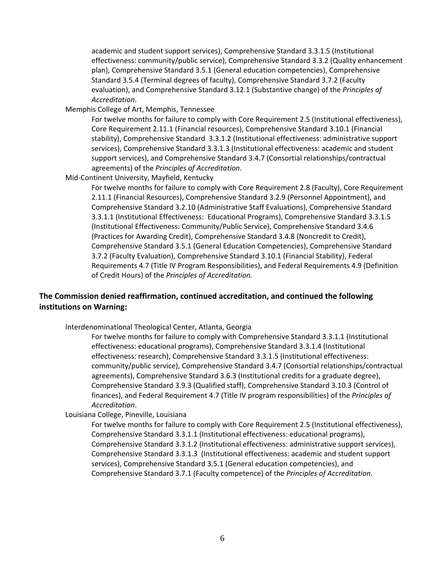academic and student support services), Comprehensive Standard 3.3.1.5 (Institutional effectiveness: community/public service), Comprehensive Standard 3.3.2 (Quality enhancement plan), Comprehensive Standard 3.5.1 (General education competencies), Comprehensive Standard 3.5.4 (Terminal degrees of faculty), Comprehensive Standard 3.7.2 (Faculty evaluation), and Comprehensive Standard 3.12.1 (Substantive change) of the *Principles of Accreditation*.

Memphis College of Art, Memphis, Tennessee

For twelve months for failure to comply with Core Requirement 2.5 (Institutional effectiveness), Core Requirement 2.11.1 (Financial resources), Comprehensive Standard 3.10.1 (Financial stability), Comprehensive Standard 3.3.1.2 (Institutional effectiveness: administrative support services), Comprehensive Standard 3.3.1.3 (Institutional effectiveness: academic and student support services), and Comprehensive Standard 3.4.7 (Consortial relationships/contractual agreements) of the *Principles of Accreditation*.

Mid‐Continent University, Mayfield, Kentucky

For twelve months for failure to comply with Core Requirement 2.8 (Faculty), Core Requirement 2.11.1 (Financial Resources), Comprehensive Standard 3.2.9 (Personnel Appointment), and Comprehensive Standard 3.2.10 (Administrative Staff Evaluations), Comprehensive Standard 3.3.1.1 (Institutional Effectiveness: Educational Programs), Comprehensive Standard 3.3.1.5 (Institutional Effectiveness: Community/Public Service), Comprehensive Standard 3.4.6 (Practices for Awarding Credit), Comprehensive Standard 3.4.8 (Noncredit to Credit), Comprehensive Standard 3.5.1 (General Education Competencies), Comprehensive Standard 3.7.2 (Faculty Evaluation), Comprehensive Standard 3.10.1 (Financial Stability), Federal Requirements 4.7 (Title IV Program Responsibilities), and Federal Requirements 4.9 (Definition of Credit Hours) of the *Principles of Accreditation.*

# **The Commission denied reaffirmation, continued accreditation, and continued the following institutions on Warning:**

Interdenominational Theological Center, Atlanta, Georgia

For twelve months for failure to comply with Comprehensive Standard 3.3.1.1 (Institutional effectiveness: educational programs), Comprehensive Standard 3.3.1.4 (Institutional effectiveness: research), Comprehensive Standard 3.3.1.5 (Institutional effectiveness: community/public service), Comprehensive Standard 3.4.7 (Consortial relationships/contractual agreements), Comprehensive Standard 3.6.3 (Institutional credits for a graduate degree), Comprehensive Standard 3.9.3 (Qualified staff), Comprehensive Standard 3.10.3 (Control of finances), and Federal Requirement 4.7 (Title IV program responsibilities) of the *Principles of Accreditation*.

Louisiana College, Pineville, Louisiana

For twelve months for failure to comply with Core Requirement 2.5 (Institutional effectiveness), Comprehensive Standard 3.3.1.1 (Institutional effectiveness: educational programs), Comprehensive Standard 3.3.1.2 (Institutional effectiveness: administrative support services), Comprehensive Standard 3.3.1.3 (Institutional effectiveness: academic and student support services), Comprehensive Standard 3.5.1 (General education competencies), and Comprehensive Standard 3.7.1 (Faculty competence) of the *Principles of Accreditation*.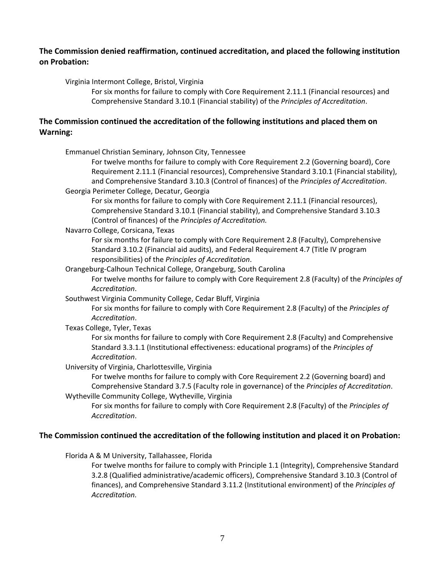## **The Commission denied reaffirmation, continued accreditation, and placed the following institution on Probation:**

### Virginia Intermont College, Bristol, Virginia

For six months for failure to comply with Core Requirement 2.11.1 (Financial resources) and Comprehensive Standard 3.10.1 (Financial stability) of the *Principles of Accreditation*.

## **The Commission continued the accreditation of the following institutions and placed them on Warning:**

Emmanuel Christian Seminary, Johnson City, Tennessee

For twelve months for failure to comply with Core Requirement 2.2 (Governing board), Core Requirement 2.11.1 (Financial resources), Comprehensive Standard 3.10.1 (Financial stability), and Comprehensive Standard 3.10.3 (Control of finances) of the *Principles of Accreditation*.

Georgia Perimeter College, Decatur, Georgia

For six months for failure to comply with Core Requirement 2.11.1 (Financial resources), Comprehensive Standard 3.10.1 (Financial stability), and Comprehensive Standard 3.10.3 (Control of finances) of the *Principles of Accreditation.*

Navarro College, Corsicana, Texas

For six months for failure to comply with Core Requirement 2.8 (Faculty), Comprehensive Standard 3.10.2 (Financial aid audits), and Federal Requirement 4.7 (Title IV program responsibilities) of the *Principles of Accreditation*.

Orangeburg‐Calhoun Technical College, Orangeburg, South Carolina

For twelve months for failure to comply with Core Requirement 2.8 (Faculty) of the *Principles of Accreditation*.

Southwest Virginia Community College, Cedar Bluff, Virginia

For six months for failure to comply with Core Requirement 2.8 (Faculty) of the *Principles of Accreditation*.

Texas College, Tyler, Texas

For six months for failure to comply with Core Requirement 2.8 (Faculty) and Comprehensive Standard 3.3.1.1 (Institutional effectiveness: educational programs) of the *Principles of Accreditation*.

University of Virginia, Charlottesville, Virginia

For twelve months for failure to comply with Core Requirement 2.2 (Governing board) and Comprehensive Standard 3.7.5 (Faculty role in governance) of the *Principles of Accreditation*. Wytheville Community College, Wytheville, Virginia

For six months for failure to comply with Core Requirement 2.8 (Faculty) of the *Principles of Accreditation*.

## **The Commission continued the accreditation of the following institution and placed it on Probation:**

Florida A & M University, Tallahassee, Florida

For twelve months for failure to comply with Principle 1.1 (Integrity), Comprehensive Standard 3.2.8 (Qualified administrative/academic officers), Comprehensive Standard 3.10.3 (Control of finances), and Comprehensive Standard 3.11.2 (Institutional environment) of the *Principles of Accreditation.*